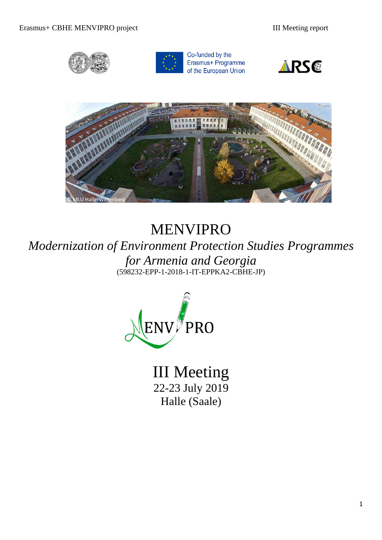



Co-funded by the Erasmus+ Programme of the European Union





# MENVIPRO

*Modernization of Environment Protection Studies Programmes for Armenia and Georgia*  (598232-EPP-1-2018-1-IT-EPPKA2-CBHE-JP)



III Meeting 22-23 July 2019 Halle (Saale)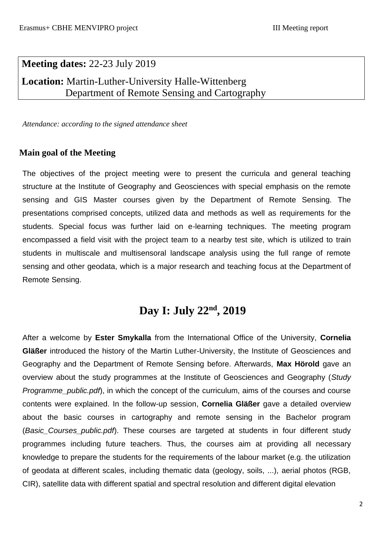## **Meeting dates:** 22-23 July 2019 **Location:** Martin-Luther-University Halle-Wittenberg

Department of Remote Sensing and Cartography

*Attendance: according to the signed attendance sheet*

#### **Main goal of the Meeting**

The objectives of the project meeting were to present the curricula and general teaching structure at the Institute of Geography and Geosciences with special emphasis on the remote sensing and GIS Master courses given by the Department of Remote Sensing. The presentations comprised concepts, utilized data and methods as well as requirements for the students. Special focus was further laid on e-learning techniques. The meeting program encompassed a field visit with the project team to a nearby test site, which is utilized to train students in multiscale and multisensoral landscape analysis using the full range of remote sensing and other geodata, which is a major research and teaching focus at the Department of Remote Sensing.

### **Day I: July 22nd, 2019**

After a welcome by **Ester Smykalla** from the International Office of the University, **Cornelia Gläßer** introduced the history of the Martin Luther-University, the Institute of Geosciences and Geography and the Department of Remote Sensing before. Afterwards, **Max Hörold** gave an overview about the study programmes at the Institute of Geosciences and Geography (*Study Programme\_public.pdf*), in which the concept of the curriculum, aims of the courses and course contents were explained. In the follow-up session, **Cornelia Gläßer** gave a detailed overview about the basic courses in cartography and remote sensing in the Bachelor program (*Basic\_Courses\_public.pdf*). These courses are targeted at students in four different study programmes including future teachers. Thus, the courses aim at providing all necessary knowledge to prepare the students for the requirements of the labour market (e.g. the utilization of geodata at different scales, including thematic data (geology, soils, ...), aerial photos (RGB, CIR), satellite data with different spatial and spectral resolution and different digital elevation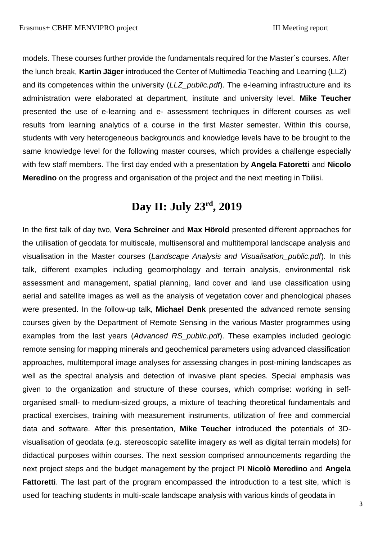models. These courses further provide the fundamentals required for the Master´s courses. After the lunch break, **Kartin Jäger** introduced the Center of Multimedia Teaching and Learning (LLZ) and its competences within the university (*LLZ\_public.pdf*). The e-learning infrastructure and its administration were elaborated at department, institute and university level. **Mike Teucher**  presented the use of e-learning and e- assessment techniques in different courses as well results from learning analytics of a course in the first Master semester. Within this course, students with very heterogeneous backgrounds and knowledge levels have to be brought to the same knowledge level for the following master courses, which provides a challenge especially with few staff members. The first day ended with a presentation by **Angela Fatoretti** and **Nicolo Meredino** on the progress and organisation of the project and the next meeting in Tbilisi.

## **Day II: July 23rd, 2019**

In the first talk of day two, **Vera Schreiner** and **Max Hörold** presented different approaches for the utilisation of geodata for multiscale, multisensoral and multitemporal landscape analysis and visualisation in the Master courses (*Landscape Analysis and Visualisation\_public.pdf*). In this talk, different examples including geomorphology and terrain analysis, environmental risk assessment and management, spatial planning, land cover and land use classification using aerial and satellite images as well as the analysis of vegetation cover and phenological phases were presented. In the follow-up talk, **Michael Denk** presented the advanced remote sensing courses given by the Department of Remote Sensing in the various Master programmes using examples from the last years (*Advanced RS\_public.pdf*). These examples included geologic remote sensing for mapping minerals and geochemical parameters using advanced classification approaches, multitemporal image analyses for assessing changes in post-mining landscapes as well as the spectral analysis and detection of invasive plant species. Special emphasis was given to the organization and structure of these courses, which comprise: working in selforganised small- to medium-sized groups, a mixture of teaching theoretical fundamentals and practical exercises, training with measurement instruments, utilization of free and commercial data and software. After this presentation, **Mike Teucher** introduced the potentials of 3Dvisualisation of geodata (e.g. stereoscopic satellite imagery as well as digital terrain models) for didactical purposes within courses. The next session comprised announcements regarding the next project steps and the budget management by the project PI **Nicolò Meredino** and **Angela Fattoretti**. The last part of the program encompassed the introduction to a test site, which is used for teaching students in multi-scale landscape analysis with various kinds of geodata in